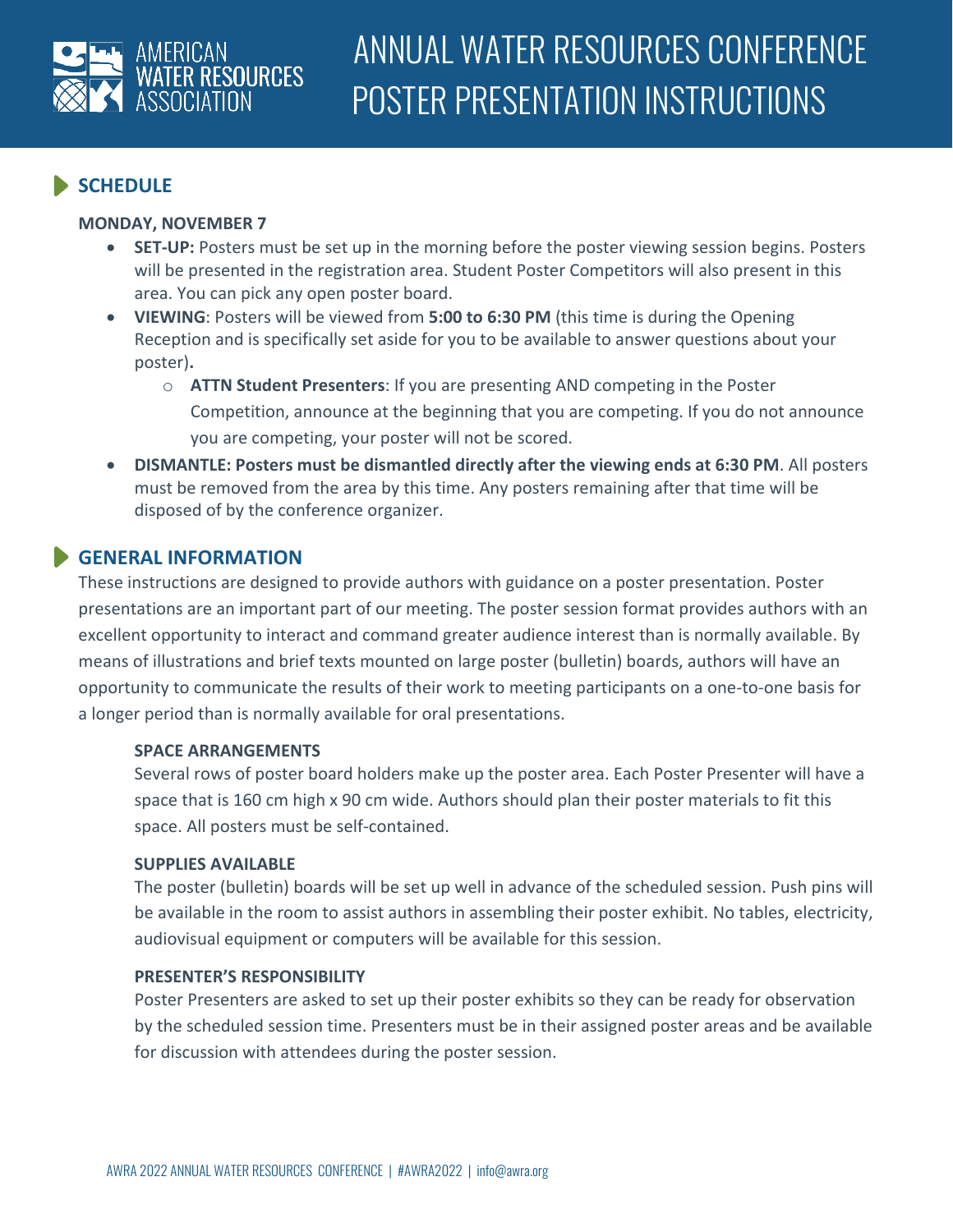

# **SCHEDULE**

#### **MONDAY, NOVEMBER 7**

- **SET-UP:** Posters must be set up in the morning before the poster viewing session begins. Posters will be presented in the registration area. Student Poster Competitors will also present in this area. You can pick any open poster board.
- **VIEWING**: Posters will be viewed from **5:00 to 6:30 PM** (this time is during the Opening Reception and is specifically set aside for you to be available to answer questions about your poster)**.** 
	- o **ATTN Student Presenters**: If you are presenting AND competing in the Poster Competition, announce at the beginning that you are competing. If you do not announce you are competing, your poster will not be scored.
- **DISMANTLE: Posters must be dismantled directly after the viewing ends at 6:30 PM**. All posters must be removed from the area by this time. Any posters remaining after that time will be disposed of by the conference organizer.

# **GENERAL INFORMATION**

These instructions are designed to provide authors with guidance on a poster presentation. Poster presentations are an important part of our meeting. The poster session format provides authors with an excellent opportunity to interact and command greater audience interest than is normally available. By means of illustrations and brief texts mounted on large poster (bulletin) boards, authors will have an opportunity to communicate the results of their work to meeting participants on a one-to-one basis for a longer period than is normally available for oral presentations.

#### **SPACE ARRANGEMENTS**

Several rows of poster board holders make up the poster area. Each Poster Presenter will have a space that is 160 cm high x 90 cm wide. Authors should plan their poster materials to fit this space. All posters must be self-contained.

#### **SUPPLIES AVAILABLE**

The poster (bulletin) boards will be set up well in advance of the scheduled session. Push pins will be available in the room to assist authors in assembling their poster exhibit. No tables, electricity, audiovisual equipment or computers will be available for this session.

### **PRESENTER'S RESPONSIBILITY**

Poster Presenters are asked to set up their poster exhibits so they can be ready for observation by the scheduled session time. Presenters must be in their assigned poster areas and be available for discussion with attendees during the poster session.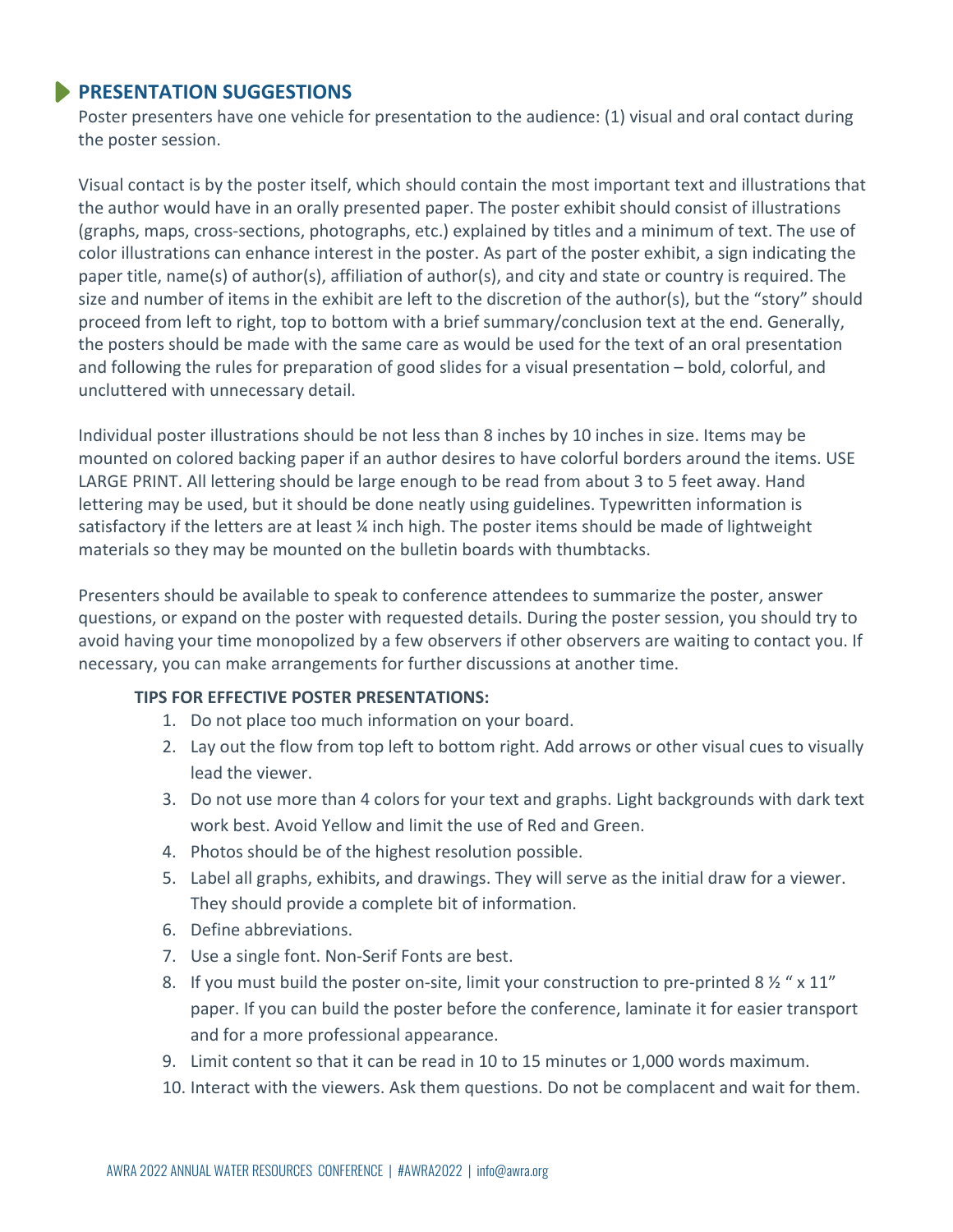## **PRESENTATION SUGGESTIONS**

Poster presenters have one vehicle for presentation to the audience: (1) visual and oral contact during the poster session.

Visual contact is by the poster itself, which should contain the most important text and illustrations that the author would have in an orally presented paper. The poster exhibit should consist of illustrations (graphs, maps, cross-sections, photographs, etc.) explained by titles and a minimum of text. The use of color illustrations can enhance interest in the poster. As part of the poster exhibit, a sign indicating the paper title, name(s) of author(s), affiliation of author(s), and city and state or country is required. The size and number of items in the exhibit are left to the discretion of the author(s), but the "story" should proceed from left to right, top to bottom with a brief summary/conclusion text at the end. Generally, the posters should be made with the same care as would be used for the text of an oral presentation and following the rules for preparation of good slides for a visual presentation – bold, colorful, and uncluttered with unnecessary detail.

Individual poster illustrations should be not less than 8 inches by 10 inches in size. Items may be mounted on colored backing paper if an author desires to have colorful borders around the items. USE LARGE PRINT. All lettering should be large enough to be read from about 3 to 5 feet away. Hand lettering may be used, but it should be done neatly using guidelines. Typewritten information is satisfactory if the letters are at least  $\frac{1}{4}$  inch high. The poster items should be made of lightweight materials so they may be mounted on the bulletin boards with thumbtacks.

Presenters should be available to speak to conference attendees to summarize the poster, answer questions, or expand on the poster with requested details. During the poster session, you should try to avoid having your time monopolized by a few observers if other observers are waiting to contact you. If necessary, you can make arrangements for further discussions at another time.

### **TIPS FOR EFFECTIVE POSTER PRESENTATIONS:**

- 1. Do not place too much information on your board.
- 2. Lay out the flow from top left to bottom right. Add arrows or other visual cues to visually lead the viewer.
- 3. Do not use more than 4 colors for your text and graphs. Light backgrounds with dark text work best. Avoid Yellow and limit the use of Red and Green.
- 4. Photos should be of the highest resolution possible.
- 5. Label all graphs, exhibits, and drawings. They will serve as the initial draw for a viewer. They should provide a complete bit of information.
- 6. Define abbreviations.
- 7. Use a single font. Non-Serif Fonts are best.
- 8. If you must build the poster on-site, limit your construction to pre-printed 8  $\frac{1}{2}$  " x 11" paper. If you can build the poster before the conference, laminate it for easier transport and for a more professional appearance.
- 9. Limit content so that it can be read in 10 to 15 minutes or 1,000 words maximum.
- 10. Interact with the viewers. Ask them questions. Do not be complacent and wait for them.